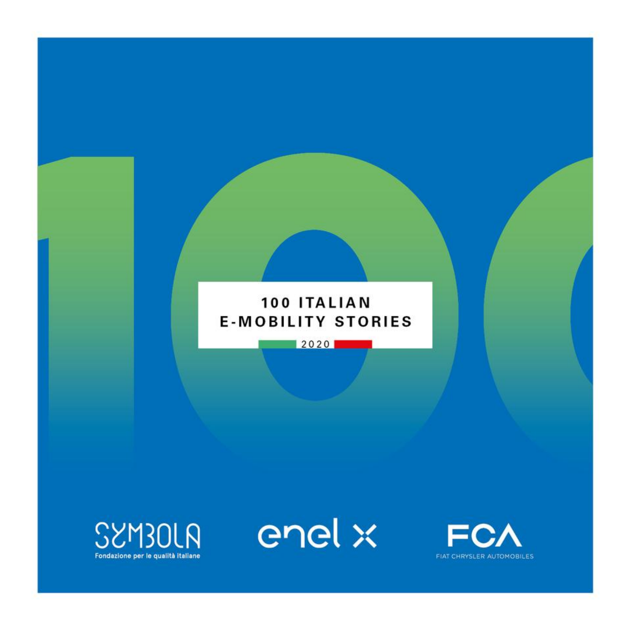## 100 ITALIAN **E-MOBILITY STORIES**

2020